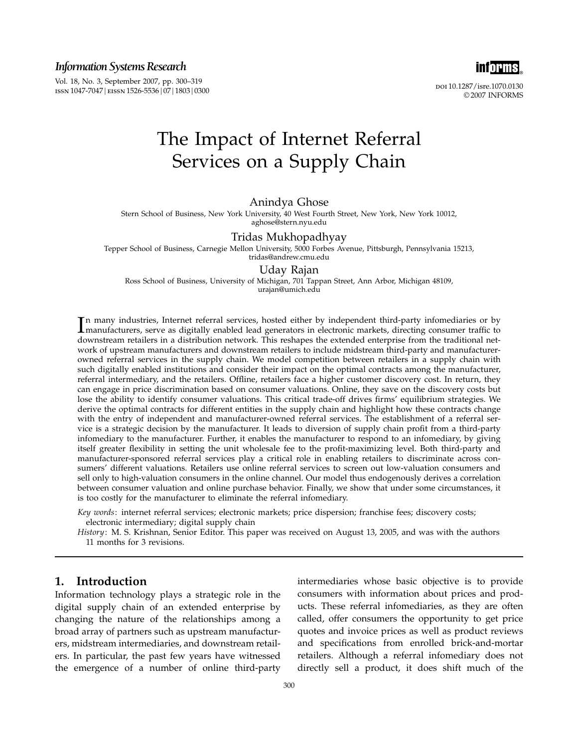### *Information Systems Research*

Vol. 18, No. 3, September 2007, pp. 300–319 ISSN 1047-7047 | EISSN 1526-5536 | 07 | 1803 | 0300



doi 10.1287/isre.1070.0130 © 2007 INFORMS

# The Impact of Internet Referral Services on a Supply Chain

### Anindya Ghose

Stern School of Business, New York University, 40 West Fourth Street, New York, New York 10012, aghose@stern.nyu.edu

### Tridas Mukhopadhyay

Tepper School of Business, Carnegie Mellon University, 5000 Forbes Avenue, Pittsburgh, Pennsylvania 15213, tridas@andrew.cmu.edu

# Uday Rajan

Ross School of Business, University of Michigan, 701 Tappan Street, Ann Arbor, Michigan 48109, urajan@umich.edu

In many industries, Internet referral services, hosted either by independent third-party infomediaries or by<br>Imanufacturers, serve as digitally enabled lead generators in electronic markets, directing consumer traffic to<br>d manufacturers, serve as digitally enabled lead generators in electronic markets, directing consumer traffic to downstream retailers in a distribution network. This reshapes the extended enterprise from the traditional network of upstream manufacturers and downstream retailers to include midstream third-party and manufacturerowned referral services in the supply chain. We model competition between retailers in a supply chain with such digitally enabled institutions and consider their impact on the optimal contracts among the manufacturer, referral intermediary, and the retailers. Offline, retailers face a higher customer discovery cost. In return, they can engage in price discrimination based on consumer valuations. Online, they save on the discovery costs but lose the ability to identify consumer valuations. This critical trade-off drives firms' equilibrium strategies. We derive the optimal contracts for different entities in the supply chain and highlight how these contracts change with the entry of independent and manufacturer-owned referral services. The establishment of a referral service is a strategic decision by the manufacturer. It leads to diversion of supply chain profit from a third-party infomediary to the manufacturer. Further, it enables the manufacturer to respond to an infomediary, by giving itself greater flexibility in setting the unit wholesale fee to the profit-maximizing level. Both third-party and manufacturer-sponsored referral services play a critical role in enabling retailers to discriminate across consumers' different valuations. Retailers use online referral services to screen out low-valuation consumers and sell only to high-valuation consumers in the online channel. Our model thus endogenously derives a correlation between consumer valuation and online purchase behavior. Finally, we show that under some circumstances, it is too costly for the manufacturer to eliminate the referral infomediary.

Key words: internet referral services; electronic markets; price dispersion; franchise fees; discovery costs; electronic intermediary; digital supply chain

History: M. S. Krishnan, Senior Editor. This paper was received on August 13, 2005, and was with the authors 11 months for 3 revisions.

## 1. Introduction

Information technology plays a strategic role in the digital supply chain of an extended enterprise by changing the nature of the relationships among a broad array of partners such as upstream manufacturers, midstream intermediaries, and downstream retailers. In particular, the past few years have witnessed the emergence of a number of online third-party

intermediaries whose basic objective is to provide consumers with information about prices and products. These referral infomediaries, as they are often called, offer consumers the opportunity to get price quotes and invoice prices as well as product reviews and specifications from enrolled brick-and-mortar retailers. Although a referral infomediary does not directly sell a product, it does shift much of the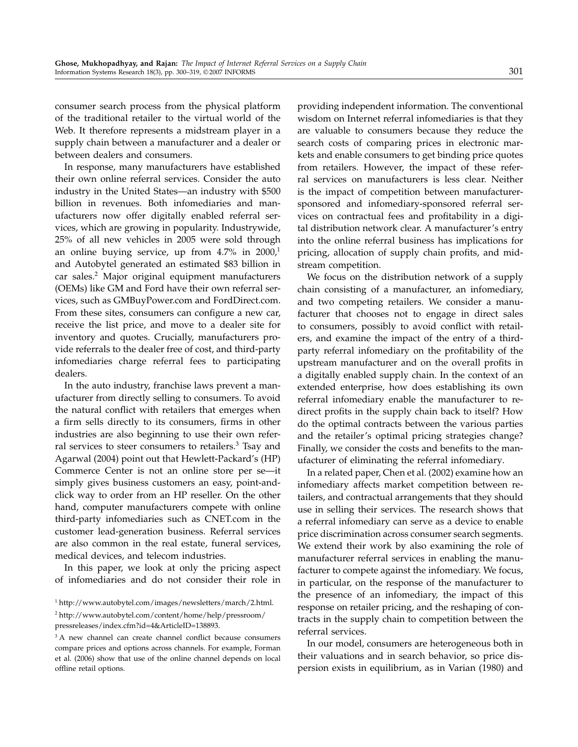consumer search process from the physical platform of the traditional retailer to the virtual world of the Web. It therefore represents a midstream player in a supply chain between a manufacturer and a dealer or between dealers and consumers.

In response, many manufacturers have established their own online referral services. Consider the auto industry in the United States—an industry with \$500 billion in revenues. Both infomediaries and manufacturers now offer digitally enabled referral services, which are growing in popularity. Industrywide, 25% of all new vehicles in 2005 were sold through an online buying service, up from  $4.7\%$  in  $2000<sup>1</sup>$ and Autobytel generated an estimated \$83 billion in car sales.<sup>2</sup> Major original equipment manufacturers (OEMs) like GM and Ford have their own referral services, such as GMBuyPower.com and FordDirect.com. From these sites, consumers can configure a new car, receive the list price, and move to a dealer site for inventory and quotes. Crucially, manufacturers provide referrals to the dealer free of cost, and third-party infomediaries charge referral fees to participating dealers.

In the auto industry, franchise laws prevent a manufacturer from directly selling to consumers. To avoid the natural conflict with retailers that emerges when a firm sells directly to its consumers, firms in other industries are also beginning to use their own referral services to steer consumers to retailers.<sup>3</sup> Tsay and Agarwal (2004) point out that Hewlett-Packard's (HP) Commerce Center is not an online store per se—it simply gives business customers an easy, point-andclick way to order from an HP reseller. On the other hand, computer manufacturers compete with online third-party infomediaries such as CNET.com in the customer lead-generation business. Referral services are also common in the real estate, funeral services, medical devices, and telecom industries.

In this paper, we look at only the pricing aspect of infomediaries and do not consider their role in

providing independent information. The conventional wisdom on Internet referral infomediaries is that they are valuable to consumers because they reduce the search costs of comparing prices in electronic markets and enable consumers to get binding price quotes from retailers. However, the impact of these referral services on manufacturers is less clear. Neither is the impact of competition between manufacturersponsored and infomediary-sponsored referral services on contractual fees and profitability in a digital distribution network clear. A manufacturer's entry into the online referral business has implications for pricing, allocation of supply chain profits, and midstream competition.

We focus on the distribution network of a supply chain consisting of a manufacturer, an infomediary, and two competing retailers. We consider a manufacturer that chooses not to engage in direct sales to consumers, possibly to avoid conflict with retailers, and examine the impact of the entry of a thirdparty referral infomediary on the profitability of the upstream manufacturer and on the overall profits in a digitally enabled supply chain. In the context of an extended enterprise, how does establishing its own referral infomediary enable the manufacturer to redirect profits in the supply chain back to itself? How do the optimal contracts between the various parties and the retailer's optimal pricing strategies change? Finally, we consider the costs and benefits to the manufacturer of eliminating the referral infomediary.

In a related paper, Chen et al. (2002) examine how an infomediary affects market competition between retailers, and contractual arrangements that they should use in selling their services. The research shows that a referral infomediary can serve as a device to enable price discrimination across consumer search segments. We extend their work by also examining the role of manufacturer referral services in enabling the manufacturer to compete against the infomediary. We focus, in particular, on the response of the manufacturer to the presence of an infomediary, the impact of this response on retailer pricing, and the reshaping of contracts in the supply chain to competition between the referral services.

In our model, consumers are heterogeneous both in their valuations and in search behavior, so price dispersion exists in equilibrium, as in Varian (1980) and

<sup>1</sup> http://www.autobytel.com/images/newsletters/march/2.html. <sup>2</sup> http://www.autobytel.com/content/home/help/pressroom/ pressreleases/index.cfm?id=4&ArticleID=138893.

<sup>&</sup>lt;sup>3</sup>A new channel can create channel conflict because consumers compare prices and options across channels. For example, Forman et al. (2006) show that use of the online channel depends on local offline retail options.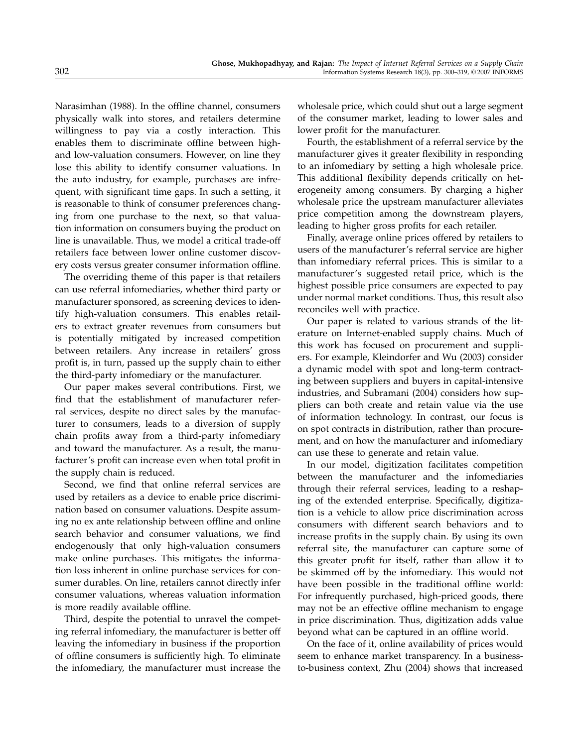Narasimhan (1988). In the offline channel, consumers physically walk into stores, and retailers determine willingness to pay via a costly interaction. This enables them to discriminate offline between highand low-valuation consumers. However, on line they lose this ability to identify consumer valuations. In the auto industry, for example, purchases are infrequent, with significant time gaps. In such a setting, it is reasonable to think of consumer preferences changing from one purchase to the next, so that valuation information on consumers buying the product on line is unavailable. Thus, we model a critical trade-off retailers face between lower online customer discovery costs versus greater consumer information offline.

The overriding theme of this paper is that retailers can use referral infomediaries, whether third party or manufacturer sponsored, as screening devices to identify high-valuation consumers. This enables retailers to extract greater revenues from consumers but is potentially mitigated by increased competition between retailers. Any increase in retailers' gross profit is, in turn, passed up the supply chain to either the third-party infomediary or the manufacturer.

Our paper makes several contributions. First, we find that the establishment of manufacturer referral services, despite no direct sales by the manufacturer to consumers, leads to a diversion of supply chain profits away from a third-party infomediary and toward the manufacturer. As a result, the manufacturer's profit can increase even when total profit in the supply chain is reduced.

Second, we find that online referral services are used by retailers as a device to enable price discrimination based on consumer valuations. Despite assuming no ex ante relationship between offline and online search behavior and consumer valuations, we find endogenously that only high-valuation consumers make online purchases. This mitigates the information loss inherent in online purchase services for consumer durables. On line, retailers cannot directly infer consumer valuations, whereas valuation information is more readily available offline.

Third, despite the potential to unravel the competing referral infomediary, the manufacturer is better off leaving the infomediary in business if the proportion of offline consumers is sufficiently high. To eliminate the infomediary, the manufacturer must increase the

wholesale price, which could shut out a large segment of the consumer market, leading to lower sales and lower profit for the manufacturer.

Fourth, the establishment of a referral service by the manufacturer gives it greater flexibility in responding to an infomediary by setting a high wholesale price. This additional flexibility depends critically on heterogeneity among consumers. By charging a higher wholesale price the upstream manufacturer alleviates price competition among the downstream players, leading to higher gross profits for each retailer.

Finally, average online prices offered by retailers to users of the manufacturer's referral service are higher than infomediary referral prices. This is similar to a manufacturer's suggested retail price, which is the highest possible price consumers are expected to pay under normal market conditions. Thus, this result also reconciles well with practice.

Our paper is related to various strands of the literature on Internet-enabled supply chains. Much of this work has focused on procurement and suppliers. For example, Kleindorfer and Wu (2003) consider a dynamic model with spot and long-term contracting between suppliers and buyers in capital-intensive industries, and Subramani (2004) considers how suppliers can both create and retain value via the use of information technology. In contrast, our focus is on spot contracts in distribution, rather than procurement, and on how the manufacturer and infomediary can use these to generate and retain value.

In our model, digitization facilitates competition between the manufacturer and the infomediaries through their referral services, leading to a reshaping of the extended enterprise. Specifically, digitization is a vehicle to allow price discrimination across consumers with different search behaviors and to increase profits in the supply chain. By using its own referral site, the manufacturer can capture some of this greater profit for itself, rather than allow it to be skimmed off by the infomediary. This would not have been possible in the traditional offline world: For infrequently purchased, high-priced goods, there may not be an effective offline mechanism to engage in price discrimination. Thus, digitization adds value beyond what can be captured in an offline world.

On the face of it, online availability of prices would seem to enhance market transparency. In a businessto-business context, Zhu (2004) shows that increased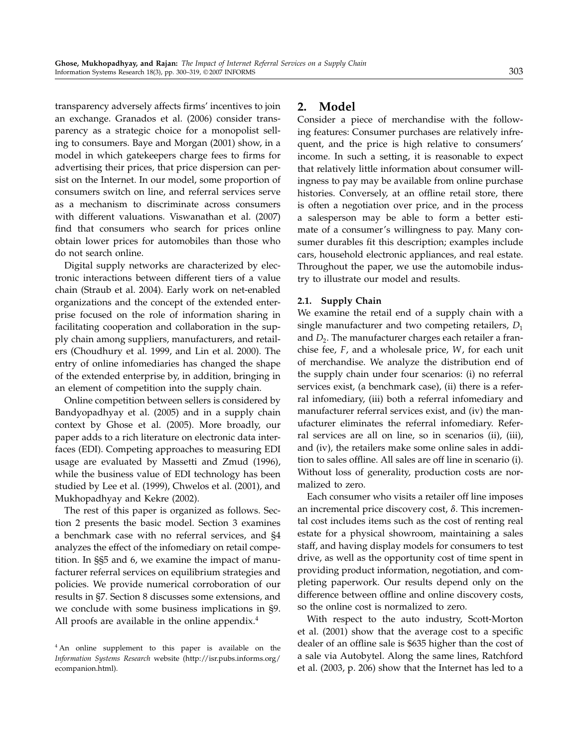transparency adversely affects firms' incentives to join an exchange. Granados et al. (2006) consider transparency as a strategic choice for a monopolist selling to consumers. Baye and Morgan (2001) show, in a model in which gatekeepers charge fees to firms for advertising their prices, that price dispersion can persist on the Internet. In our model, some proportion of consumers switch on line, and referral services serve as a mechanism to discriminate across consumers with different valuations. Viswanathan et al. (2007) find that consumers who search for prices online obtain lower prices for automobiles than those who do not search online.

Digital supply networks are characterized by electronic interactions between different tiers of a value chain (Straub et al. 2004). Early work on net-enabled organizations and the concept of the extended enterprise focused on the role of information sharing in facilitating cooperation and collaboration in the supply chain among suppliers, manufacturers, and retailers (Choudhury et al. 1999, and Lin et al. 2000). The entry of online infomediaries has changed the shape of the extended enterprise by, in addition, bringing in an element of competition into the supply chain.

Online competition between sellers is considered by Bandyopadhyay et al. (2005) and in a supply chain context by Ghose et al. (2005). More broadly, our paper adds to a rich literature on electronic data interfaces (EDI). Competing approaches to measuring EDI usage are evaluated by Massetti and Zmud (1996), while the business value of EDI technology has been studied by Lee et al. (1999), Chwelos et al. (2001), and Mukhopadhyay and Kekre (2002).

The rest of this paper is organized as follows. Section 2 presents the basic model. Section 3 examines a benchmark case with no referral services, and §4 analyzes the effect of the infomediary on retail competition. In §§5 and 6, we examine the impact of manufacturer referral services on equilibrium strategies and policies. We provide numerical corroboration of our results in §7. Section 8 discusses some extensions, and we conclude with some business implications in §9. All proofs are available in the online appendix. $4$ 

# 2. Model

Consider a piece of merchandise with the following features: Consumer purchases are relatively infrequent, and the price is high relative to consumers' income. In such a setting, it is reasonable to expect that relatively little information about consumer willingness to pay may be available from online purchase histories. Conversely, at an offline retail store, there is often a negotiation over price, and in the process a salesperson may be able to form a better estimate of a consumer's willingness to pay. Many consumer durables fit this description; examples include cars, household electronic appliances, and real estate. Throughout the paper, we use the automobile industry to illustrate our model and results.

### 2.1. Supply Chain

We examine the retail end of a supply chain with a single manufacturer and two competing retailers,  $D_1$ and  $D_2$ . The manufacturer charges each retailer a franchise fee,  $F$ , and a wholesale price,  $W$ , for each unit of merchandise. We analyze the distribution end of the supply chain under four scenarios: (i) no referral services exist, (a benchmark case), (ii) there is a referral infomediary, (iii) both a referral infomediary and manufacturer referral services exist, and (iv) the manufacturer eliminates the referral infomediary. Referral services are all on line, so in scenarios (ii), (iii), and (iv), the retailers make some online sales in addition to sales offline. All sales are off line in scenario (i). Without loss of generality, production costs are normalized to zero.

Each consumer who visits a retailer off line imposes an incremental price discovery cost,  $\delta$ . This incremental cost includes items such as the cost of renting real estate for a physical showroom, maintaining a sales staff, and having display models for consumers to test drive, as well as the opportunity cost of time spent in providing product information, negotiation, and completing paperwork. Our results depend only on the difference between offline and online discovery costs, so the online cost is normalized to zero.

With respect to the auto industry, Scott-Morton et al. (2001) show that the average cost to a specific dealer of an offline sale is \$635 higher than the cost of a sale via Autobytel. Along the same lines, Ratchford et al. (2003, p. 206) show that the Internet has led to a

<sup>4</sup> An online supplement to this paper is available on the Information Systems Research website (http://isr.pubs.informs.org/ ecompanion.html).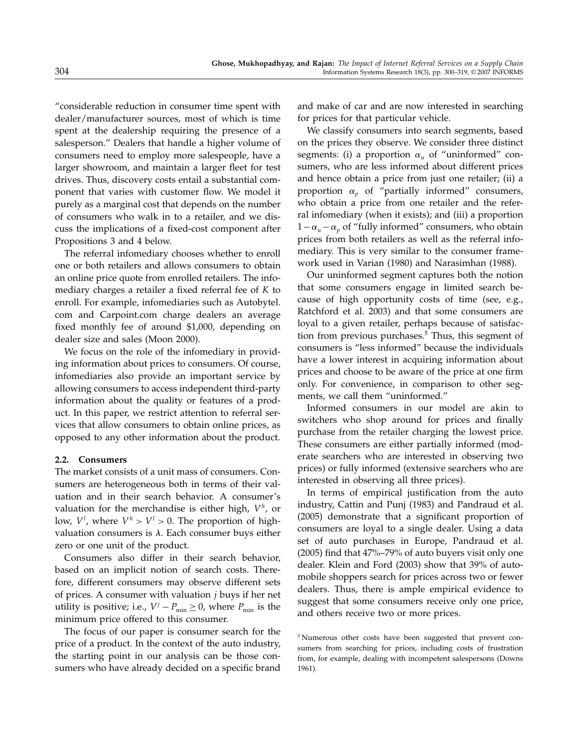"considerable reduction in consumer time spent with dealer/manufacturer sources, most of which is time spent at the dealership requiring the presence of a salesperson." Dealers that handle a higher volume of consumers need to employ more salespeople, have a larger showroom, and maintain a larger fleet for test drives. Thus, discovery costs entail a substantial component that varies with customer flow. We model it purely as a marginal cost that depends on the number of consumers who walk in to a retailer, and we discuss the implications of a fixed-cost component after Propositions 3 and 4 below.

The referral infomediary chooses whether to enroll one or both retailers and allows consumers to obtain an online price quote from enrolled retailers. The infomediary charges a retailer a fixed referral fee of K to enroll. For example, infomediaries such as Autobytel. com and Carpoint.com charge dealers an average fixed monthly fee of around \$1,000, depending on dealer size and sales (Moon 2000).

We focus on the role of the infomediary in providing information about prices to consumers. Of course, infomediaries also provide an important service by allowing consumers to access independent third-party information about the quality or features of a product. In this paper, we restrict attention to referral services that allow consumers to obtain online prices, as opposed to any other information about the product.

#### 2.2. Consumers

The market consists of a unit mass of consumers. Consumers are heterogeneous both in terms of their valuation and in their search behavior. A consumer's valuation for the merchandise is either high,  $V^h$ , or low,  $V^l$ , where  $V^h > V^l > 0$ . The proportion of highvaluation consumers is  $\lambda.$  Each consumer buys either zero or one unit of the product.

Consumers also differ in their search behavior, based on an implicit notion of search costs. Therefore, different consumers may observe different sets of prices. A consumer with valuation  *buys if her net* utility is positive; i.e.,  $V^j - P_{min} \ge 0$ , where  $P_{min}$  is the minimum price offered to this consumer.

The focus of our paper is consumer search for the price of a product. In the context of the auto industry, the starting point in our analysis can be those consumers who have already decided on a specific brand

and make of car and are now interested in searching for prices for that particular vehicle.

We classify consumers into search segments, based on the prices they observe. We consider three distinct segments: (i) a proportion  $\alpha_u$  of "uninformed" consumers, who are less informed about different prices and hence obtain a price from just one retailer; (ii) a proportion  $\alpha_n$  of "partially informed" consumers, who obtain a price from one retailer and the referral infomediary (when it exists); and (iii) a proportion  $1 - \alpha_u - \alpha_n$  of "fully informed" consumers, who obtain prices from both retailers as well as the referral infomediary. This is very similar to the consumer framework used in Varian (1980) and Narasimhan (1988).

Our uninformed segment captures both the notion that some consumers engage in limited search because of high opportunity costs of time (see, e.g., Ratchford et al. 2003) and that some consumers are loyal to a given retailer, perhaps because of satisfaction from previous purchases. $5$  Thus, this segment of consumers is "less informed" because the individuals have a lower interest in acquiring information about prices and choose to be aware of the price at one firm only. For convenience, in comparison to other segments, we call them "uninformed."

Informed consumers in our model are akin to switchers who shop around for prices and finally purchase from the retailer charging the lowest price. These consumers are either partially informed (moderate searchers who are interested in observing two prices) or fully informed (extensive searchers who are interested in observing all three prices).

In terms of empirical justification from the auto industry, Cattin and Punj (1983) and Pandraud et al. (2005) demonstrate that a significant proportion of consumers are loyal to a single dealer. Using a data set of auto purchases in Europe, Pandraud et al. (2005) find that 47%–79% of auto buyers visit only one dealer. Klein and Ford (2003) show that 39% of automobile shoppers search for prices across two or fewer dealers. Thus, there is ample empirical evidence to suggest that some consumers receive only one price, and others receive two or more prices.

<sup>5</sup> Numerous other costs have been suggested that prevent consumers from searching for prices, including costs of frustration from, for example, dealing with incompetent salespersons (Downs 1961).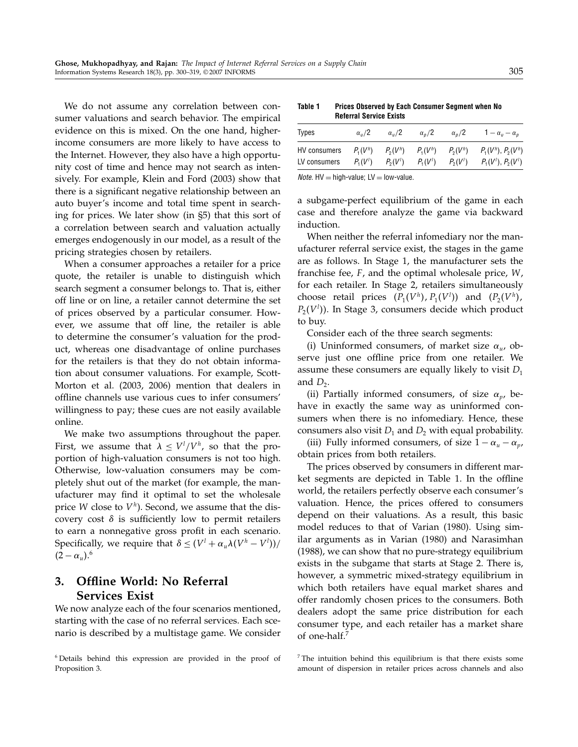We do not assume any correlation between consumer valuations and search behavior. The empirical evidence on this is mixed. On the one hand, higherincome consumers are more likely to have access to the Internet. However, they also have a high opportunity cost of time and hence may not search as intensively. For example, Klein and Ford (2003) show that there is a significant negative relationship between an auto buyer's income and total time spent in searching for prices. We later show (in §5) that this sort of a correlation between search and valuation actually emerges endogenously in our model, as a result of the pricing strategies chosen by retailers.

When a consumer approaches a retailer for a price quote, the retailer is unable to distinguish which search segment a consumer belongs to. That is, either off line or on line, a retailer cannot determine the set of prices observed by a particular consumer. However, we assume that off line, the retailer is able to determine the consumer's valuation for the product, whereas one disadvantage of online purchases for the retailers is that they do not obtain information about consumer valuations. For example, Scott-Morton et al. (2003, 2006) mention that dealers in offline channels use various cues to infer consumers' willingness to pay; these cues are not easily available online.

We make two assumptions throughout the paper. First, we assume that  $\lambda \leq V^{l}/V^{h}$ , so that the proportion of high-valuation consumers is not too high. Otherwise, low-valuation consumers may be completely shut out of the market (for example, the manufacturer may find it optimal to set the wholesale price W close to  $V^h$ ). Second, we assume that the discovery cost  $\delta$  is sufficiently low to permit retailers to earn a nonnegative gross profit in each scenario. Specifically, we require that  $\delta \leq (V^{l} + \alpha_{u} \lambda (V^{h} - V^{l}))$ /  $(2-\alpha_u)^{6}$ 

# 3. Offline World: No Referral Services Exist

We now analyze each of the four scenarios mentioned, starting with the case of no referral services. Each scenario is described by a multistage game. We consider

<sup>6</sup> Details behind this expression are provided in the proof of Proposition 3.

Table 1 Prices Observed by Each Consumer Segment when No Referral Service Exists

| Types                        | $\alpha_{\mu}/2$        | $\alpha_{\mu}/2$          | $\alpha_n/2$            | $\alpha_n/2$              | $1-\alpha_{\mu}-\alpha_{\rho}$                |
|------------------------------|-------------------------|---------------------------|-------------------------|---------------------------|-----------------------------------------------|
| HV consumers<br>LV consumers | $P_1(V^h)$<br>$P_1(V')$ | $P_2(V^h)$<br>$P_{2}(V')$ | $P_1(V^h)$<br>$P_1(V')$ | $P_2(V^h)$<br>$P_{2}(V')$ | $P_1(V^h), P_2(V^h)$<br>$P_1(V')$ , $P_2(V')$ |
|                              |                         |                           |                         |                           |                                               |

*Note.*  $HV = high-value$ ;  $LV = low-value$ .

a subgame-perfect equilibrium of the game in each case and therefore analyze the game via backward induction.

When neither the referral infomediary nor the manufacturer referral service exist, the stages in the game are as follows. In Stage 1, the manufacturer sets the franchise fee,  $F$ , and the optimal wholesale price,  $W$ , for each retailer. In Stage 2, retailers simultaneously choose retail prices  $(P_1(V^h), P_1(V^l))$  and  $(P_2(V^h),$  $P_2(V^l)$ ). In Stage 3, consumers decide which product to buy.

Consider each of the three search segments:

(i) Uninformed consumers, of market size  $\alpha_{\mu}$  observe just one offline price from one retailer. We assume these consumers are equally likely to visit  $D_1$ and  $D_2$ .

(ii) Partially informed consumers, of size  $\alpha_n$ , behave in exactly the same way as uninformed consumers when there is no infomediary. Hence, these consumers also visit  $D_1$  and  $D_2$  with equal probability.

(iii) Fully informed consumers, of size  $1 - \alpha_u - \alpha_u$ , obtain prices from both retailers.

The prices observed by consumers in different market segments are depicted in Table 1. In the offline world, the retailers perfectly observe each consumer's valuation. Hence, the prices offered to consumers depend on their valuations. As a result, this basic model reduces to that of Varian (1980). Using similar arguments as in Varian (1980) and Narasimhan (1988), we can show that no pure-strategy equilibrium exists in the subgame that starts at Stage 2. There is, however, a symmetric mixed-strategy equilibrium in which both retailers have equal market shares and offer randomly chosen prices to the consumers. Both dealers adopt the same price distribution for each consumer type, and each retailer has a market share of one-half.7

<sup>7</sup> The intuition behind this equilibrium is that there exists some amount of dispersion in retailer prices across channels and also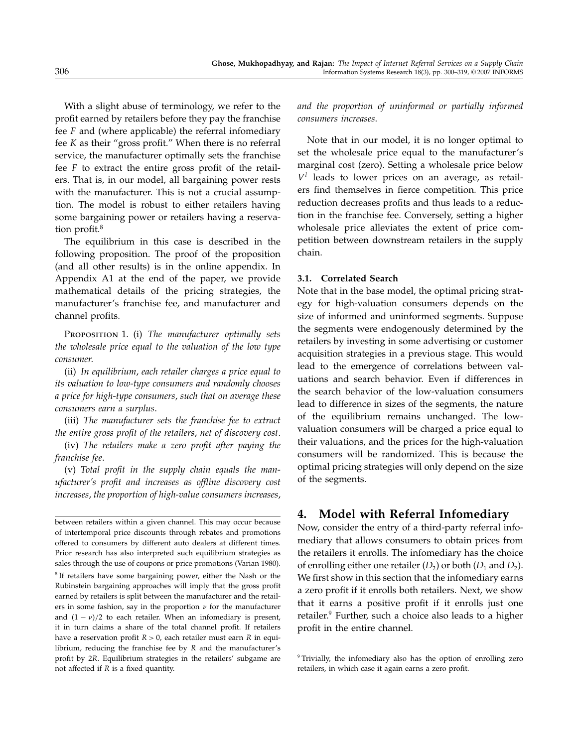With a slight abuse of terminology, we refer to the profit earned by retailers before they pay the franchise fee F and (where applicable) the referral infomediary fee K as their "gross profit." When there is no referral service, the manufacturer optimally sets the franchise fee  $F$  to extract the entire gross profit of the retailers. That is, in our model, all bargaining power rests with the manufacturer. This is not a crucial assumption. The model is robust to either retailers having some bargaining power or retailers having a reservation profit.<sup>8</sup>

The equilibrium in this case is described in the following proposition. The proof of the proposition (and all other results) is in the online appendix. In Appendix A1 at the end of the paper, we provide mathematical details of the pricing strategies, the manufacturer's franchise fee, and manufacturer and channel profits.

PROPOSITION 1. (i) The manufacturer optimally sets the wholesale price equal to the valuation of the low type consumer.

(ii) In equilibrium, each retailer charges a price equal to its valuation to low-type consumers and randomly chooses a price for high-type consumers, such that on average these consumers earn a surplus.

(iii) The manufacturer sets the franchise fee to extract the entire gross profit of the retailers, net of discovery cost.

(iv) The retailers make a zero profit after paying the franchise fee.

(v) Total profit in the supply chain equals the manufacturer's profit and increases as offline discovery cost increases, the proportion of high-value consumers increases, and the proportion of uninformed or partially informed consumers increases.

Note that in our model, it is no longer optimal to set the wholesale price equal to the manufacturer's marginal cost (zero). Setting a wholesale price below  $V<sup>1</sup>$  leads to lower prices on an average, as retailers find themselves in fierce competition. This price reduction decreases profits and thus leads to a reduction in the franchise fee. Conversely, setting a higher wholesale price alleviates the extent of price competition between downstream retailers in the supply chain.

### 3.1. Correlated Search

Note that in the base model, the optimal pricing strategy for high-valuation consumers depends on the size of informed and uninformed segments. Suppose the segments were endogenously determined by the retailers by investing in some advertising or customer acquisition strategies in a previous stage. This would lead to the emergence of correlations between valuations and search behavior. Even if differences in the search behavior of the low-valuation consumers lead to difference in sizes of the segments, the nature of the equilibrium remains unchanged. The lowvaluation consumers will be charged a price equal to their valuations, and the prices for the high-valuation consumers will be randomized. This is because the optimal pricing strategies will only depend on the size of the segments.

# 4. Model with Referral Infomediary

Now, consider the entry of a third-party referral infomediary that allows consumers to obtain prices from the retailers it enrolls. The infomediary has the choice of enrolling either one retailer  $(D_2)$  or both  $(D_1$  and  $D_2)$ . We first show in this section that the infomediary earns a zero profit if it enrolls both retailers. Next, we show that it earns a positive profit if it enrolls just one retailer.<sup>9</sup> Further, such a choice also leads to a higher profit in the entire channel.

between retailers within a given channel. This may occur because of intertemporal price discounts through rebates and promotions offered to consumers by different auto dealers at different times. Prior research has also interpreted such equilibrium strategies as sales through the use of coupons or price promotions (Varian 1980). <sup>8</sup> If retailers have some bargaining power, either the Nash or the Rubinstein bargaining approaches will imply that the gross profit earned by retailers is split between the manufacturer and the retailers in some fashion, say in the proportion  $\nu$  for the manufacturer and  $(1 - \nu)/2$  to each retailer. When an infomediary is present, it in turn claims a share of the total channel profit. If retailers have a reservation profit  $R > 0$ , each retailer must earn  $R$  in equilibrium, reducing the franchise fee by R and the manufacturer's profit by 2R. Equilibrium strategies in the retailers' subgame are not affected if  $R$  is a fixed quantity.

<sup>&</sup>lt;sup>9</sup> Trivially, the infomediary also has the option of enrolling zero retailers, in which case it again earns a zero profit.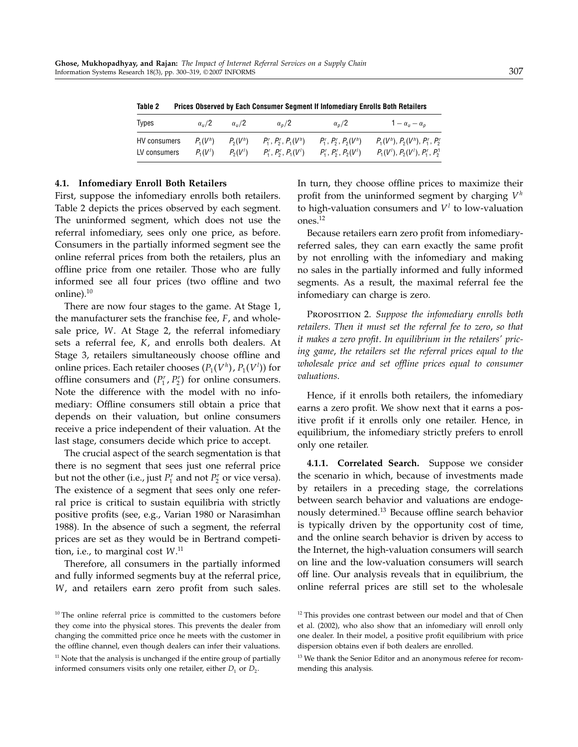| <b>Types</b> | $\alpha_{\mu}/2$ | $\alpha_{\mu}/2$ | $\alpha_n/2$             | $\alpha_n/2$                   | $1-\alpha_{\rm u}-\alpha_{\rm p}$                              |
|--------------|------------------|------------------|--------------------------|--------------------------------|----------------------------------------------------------------|
| HV consumers | $P_1(V^h)$       | $P_2(V^h)$       | $P_1^r, P_2^r, P_1(V^h)$ | $P_1^r$ , $P_2^r$ , $P_2(V^h)$ | $P_1(V^h)$ , $P_2(V^h)$ , $P_1^r$ , $P_2^r$                    |
| LV consumers | $P_{1}(V')$      | $P_{2}(V')$      | $P_1^r, P_2^r, P_1(V^t)$ | $P_1^r, P_2^r, P_2(V^t)$       | $P_1(V^{\prime}), P_2(V^{\prime}), P_1^{\prime}, P_2^{\prime}$ |

Table 2 Prices Observed by Each Consumer Segment If Infomediary Enrolls Both Retailers

#### 4.1. Infomediary Enroll Both Retailers

First, suppose the infomediary enrolls both retailers. Table 2 depicts the prices observed by each segment. The uninformed segment, which does not use the referral infomediary, sees only one price, as before. Consumers in the partially informed segment see the online referral prices from both the retailers, plus an offline price from one retailer. Those who are fully informed see all four prices (two offline and two online). $10$ 

There are now four stages to the game. At Stage 1, the manufacturer sets the franchise fee,  $F$ , and wholesale price, W. At Stage 2, the referral infomediary sets a referral fee, K, and enrolls both dealers. At Stage 3, retailers simultaneously choose offline and online prices. Each retailer chooses  $(P_1(V^h), P_1(V^l))$  for offline consumers and  $(P_1^r, P_2^r)$  for online consumers. Note the difference with the model with no infomediary: Offline consumers still obtain a price that depends on their valuation, but online consumers receive a price independent of their valuation. At the last stage, consumers decide which price to accept.

The crucial aspect of the search segmentation is that there is no segment that sees just one referral price but not the other (i.e., just  $P_1^r$  and not  $P_2^r$  or vice versa). The existence of a segment that sees only one referral price is critical to sustain equilibria with strictly positive profits (see, e.g., Varian 1980 or Narasimhan 1988). In the absence of such a segment, the referral prices are set as they would be in Bertrand competition, i.e., to marginal cost  $W$ .<sup>11</sup>

Therefore, all consumers in the partially informed and fully informed segments buy at the referral price, W, and retailers earn zero profit from such sales. In turn, they choose offline prices to maximize their profit from the uninformed segment by charging  $V^h$ to high-valuation consumers and  $V^l$  to low-valuation ones.12

Because retailers earn zero profit from infomediaryreferred sales, they can earn exactly the same profit by not enrolling with the infomediary and making no sales in the partially informed and fully informed segments. As a result, the maximal referral fee the infomediary can charge is zero.

PROPOSITION 2. Suppose the infomediary enrolls both retailers. Then it must set the referral fee to zero, so that it makes a zero profit. In equilibrium in the retailers'pricing game, the retailers set the referral prices equal to the wholesale price and set offline prices equal to consumer valuations.

Hence, if it enrolls both retailers, the infomediary earns a zero profit. We show next that it earns a positive profit if it enrolls only one retailer. Hence, in equilibrium, the infomediary strictly prefers to enroll only one retailer.

4.1.1. Correlated Search. Suppose we consider the scenario in which, because of investments made by retailers in a preceding stage, the correlations between search behavior and valuations are endogenously determined.<sup>13</sup> Because offline search behavior is typically driven by the opportunity cost of time, and the online search behavior is driven by access to the Internet, the high-valuation consumers will search on line and the low-valuation consumers will search off line. Our analysis reveals that in equilibrium, the online referral prices are still set to the wholesale

<sup>&</sup>lt;sup>10</sup> The online referral price is committed to the customers before they come into the physical stores. This prevents the dealer from changing the committed price once he meets with the customer in the offline channel, even though dealers can infer their valuations.  $11$  Note that the analysis is unchanged if the entire group of partially informed consumers visits only one retailer, either  $D_1$  or  $D_2$ .

<sup>&</sup>lt;sup>12</sup> This provides one contrast between our model and that of Chen et al. (2002), who also show that an infomediary will enroll only one dealer. In their model, a positive profit equilibrium with price dispersion obtains even if both dealers are enrolled.

<sup>&</sup>lt;sup>13</sup> We thank the Senior Editor and an anonymous referee for recommending this analysis.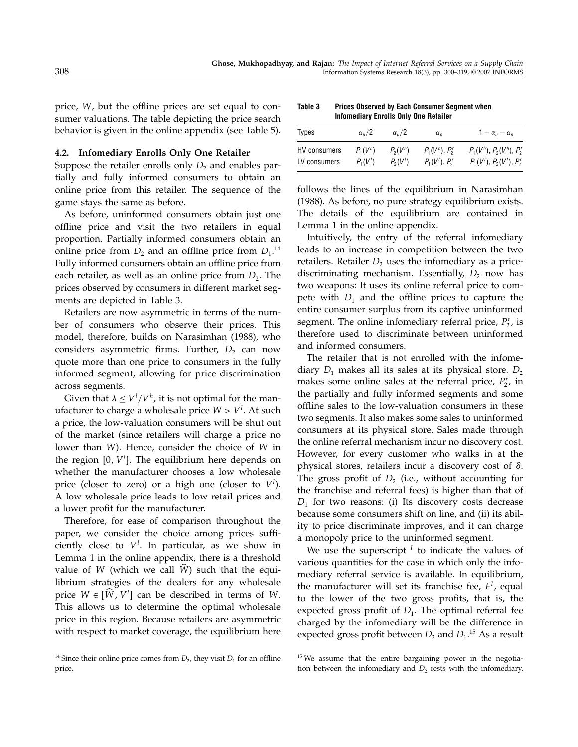price, W, but the offline prices are set equal to consumer valuations. The table depicting the price search behavior is given in the online appendix (see Table 5).

#### 4.2. Infomediary Enrolls Only One Retailer

Suppose the retailer enrolls only  $D_2$  and enables partially and fully informed consumers to obtain an online price from this retailer. The sequence of the game stays the same as before.

As before, uninformed consumers obtain just one offline price and visit the two retailers in equal proportion. Partially informed consumers obtain an online price from  $D_2$  and an offline price from  $D_1$ .<sup>14</sup> Fully informed consumers obtain an offline price from each retailer, as well as an online price from  $D_2$ . The prices observed by consumers in different market segments are depicted in Table 3.

Retailers are now asymmetric in terms of the number of consumers who observe their prices. This model, therefore, builds on Narasimhan (1988), who considers asymmetric firms. Further,  $D_2$  can now quote more than one price to consumers in the fully informed segment, allowing for price discrimination across segments.

Given that  $\lambda \leq V^l/V^h$ , it is not optimal for the manufacturer to charge a wholesale price  $W > V<sup>l</sup>$ . At such a price, the low-valuation consumers will be shut out of the market (since retailers will charge a price no lower than W). Hence, consider the choice of W in the region  $[0, V<sup>l</sup>]$ . The equilibrium here depends on whether the manufacturer chooses a low wholesale price (closer to zero) or a high one (closer to  $V^l$ ). A low wholesale price leads to low retail prices and a lower profit for the manufacturer.

Therefore, for ease of comparison throughout the paper, we consider the choice among prices sufficiently close to  $V^l$ . In particular, as we show in Lemma 1 in the online appendix, there is a threshold value of W (which we call  $\dot{W}$ ) such that the equilibrium strategies of the dealers for any wholesale price  $W \in [\hat{W}, V']$  can be described in terms of W. This allows us to determine the optimal wholesale price in this region. Because retailers are asymmetric with respect to market coverage, the equilibrium here

<sup>14</sup> Since their online price comes from  $D_2$ , they visit  $D_1$  for an offline price.

Table 3 Prices Observed by Each Consumer Segment when Infomediary Enrolls Only One Retailer

| Types        | $\alpha$ <sub>u</sub> /2 | $\alpha$ <sub>u</sub> /2 | $\alpha_p$           | $1-\alpha_{\mu}-\alpha_{\nu}$                    |  |
|--------------|--------------------------|--------------------------|----------------------|--------------------------------------------------|--|
| HV consumers | $P_1(V^h)$               | $P_2(V^h)$               | $P_1(V^h)$ , $P_2^r$ | $P_1(V^h)$ , $P_2(V^h)$ , $P_2^r$                |  |
| LV consumers | $P_{1}(V')$              | $P_2(V')$                | $P_1(V')$ , $P_2'$   | $P_1(V^{\prime}), P_2(V^{\prime}), P_2^{\prime}$ |  |

follows the lines of the equilibrium in Narasimhan (1988). As before, no pure strategy equilibrium exists. The details of the equilibrium are contained in Lemma 1 in the online appendix.

Intuitively, the entry of the referral infomediary leads to an increase in competition between the two retailers. Retailer  $D_2$  uses the infomediary as a pricediscriminating mechanism. Essentially,  $D_2$  now has two weapons: It uses its online referral price to compete with  $D_1$  and the offline prices to capture the entire consumer surplus from its captive uninformed segment. The online infomediary referral price,  $P_2^r$ , is therefore used to discriminate between uninformed and informed consumers.

The retailer that is not enrolled with the infomediary  $D_1$  makes all its sales at its physical store.  $D_2$ makes some online sales at the referral price,  $P_2^r$ , in the partially and fully informed segments and some offline sales to the low-valuation consumers in these two segments. It also makes some sales to uninformed consumers at its physical store. Sales made through the online referral mechanism incur no discovery cost. However, for every customer who walks in at the physical stores, retailers incur a discovery cost of  $\delta$ . The gross profit of  $D_2$  (i.e., without accounting for the franchise and referral fees) is higher than that of  $D_1$  for two reasons: (i) Its discovery costs decrease because some consumers shift on line, and (ii) its ability to price discriminate improves, and it can charge a monopoly price to the uninformed segment.

We use the superscript  $<sup>I</sup>$  to indicate the values of</sup> various quantities for the case in which only the infomediary referral service is available. In equilibrium, the manufacturer will set its franchise fee,  $F<sup>I</sup>$ , equal to the lower of the two gross profits, that is, the expected gross profit of  $D_1$ . The optimal referral fee charged by the infomediary will be the difference in expected gross profit between  $D_2$  and  $D_1$ .<sup>15</sup> As a result

 $15$  We assume that the entire bargaining power in the negotiation between the infomediary and  $D<sub>2</sub>$  rests with the infomediary.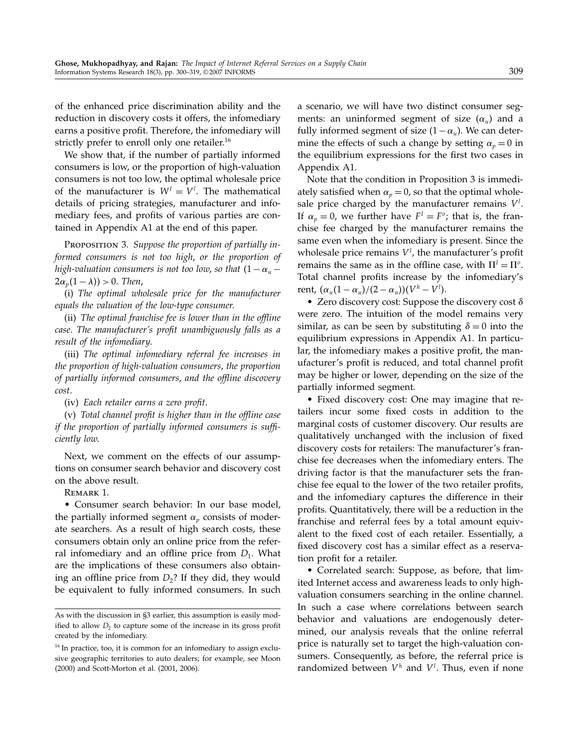of the enhanced price discrimination ability and the reduction in discovery costs it offers, the infomediary earns a positive profit. Therefore, the infomediary will strictly prefer to enroll only one retailer.<sup>16</sup>

We show that, if the number of partially informed consumers is low, or the proportion of high-valuation consumers is not too low, the optimal wholesale price of the manufacturer is  $W^I = V^I$ . The mathematical details of pricing strategies, manufacturer and infomediary fees, and profits of various parties are contained in Appendix A1 at the end of this paper.

PROPOSITION 3. Suppose the proportion of partially informed consumers is not too high, or the proportion of high-valuation consumers is not too low, so that  $(1 - \alpha_u 2\alpha_p(1-\lambda)) > 0$ . Then,

(i) The optimal wholesale price for the manufacturer equals the valuation of the low-type consumer.

(ii) The optimal franchise fee is lower than in the offline case. The manufacturer's profit unambiguously falls as a result of the infomediary.

(iii) The optimal infomediary referral fee increases in the proportion of high-valuation consumers, the proportion of partially informed consumers, and the offline discovery cost.

(iv) Each retailer earns a zero profit.

(v) Total channel profit is higher than in the offline case if the proportion of partially informed consumers is sufficiently low.

Next, we comment on the effects of our assumptions on consumer search behavior and discovery cost on the above result.

Remark 1.

• Consumer search behavior: In our base model, the partially informed segment  $\alpha_n$  consists of moderate searchers. As a result of high search costs, these consumers obtain only an online price from the referral infomediary and an offline price from  $D_1$ . What are the implications of these consumers also obtaining an offline price from  $D_2$ ? If they did, they would be equivalent to fully informed consumers. In such a scenario, we will have two distinct consumer segments: an uninformed segment of size  $(\alpha_u)$  and a fully informed segment of size  $(1 - \alpha_u)$ . We can determine the effects of such a change by setting  $\alpha_n = 0$  in the equilibrium expressions for the first two cases in Appendix A1.

Note that the condition in Proposition 3 is immediately satisfied when  $\alpha_n = 0$ , so that the optimal wholesale price charged by the manufacturer remains  $V^l$ . If  $\alpha_p = 0$ , we further have  $F^I = F^o$ ; that is, the franchise fee charged by the manufacturer remains the same even when the infomediary is present. Since the wholesale price remains  $V^l$ , the manufacturer's profit remains the same as in the offline case, with  $\Pi^I = \Pi^o$ . Total channel profits increase by the infomediary's rent,  $(\alpha_u(1-\alpha_u)/(2-\alpha_u))(V^h-V^l)$ .

• Zero discovery cost: Suppose the discovery cost  $\delta$ were zero. The intuition of the model remains very similar, as can be seen by substituting  $\delta = 0$  into the equilibrium expressions in Appendix A1. In particular, the infomediary makes a positive profit, the manufacturer's profit is reduced, and total channel profit may be higher or lower, depending on the size of the partially informed segment.

• Fixed discovery cost: One may imagine that retailers incur some fixed costs in addition to the marginal costs of customer discovery. Our results are qualitatively unchanged with the inclusion of fixed discovery costs for retailers: The manufacturer's franchise fee decreases when the infomediary enters. The driving factor is that the manufacturer sets the franchise fee equal to the lower of the two retailer profits, and the infomediary captures the difference in their profits. Quantitatively, there will be a reduction in the franchise and referral fees by a total amount equivalent to the fixed cost of each retailer. Essentially, a fixed discovery cost has a similar effect as a reservation profit for a retailer.

• Correlated search: Suppose, as before, that limited Internet access and awareness leads to only highvaluation consumers searching in the online channel. In such a case where correlations between search behavior and valuations are endogenously determined, our analysis reveals that the online referral price is naturally set to target the high-valuation consumers. Consequently, as before, the referral price is randomized between  $V^h$  and  $V^l$ . Thus, even if none

As with the discussion in §3 earlier, this assumption is easily modified to allow  $D_2$  to capture some of the increase in its gross profit created by the infomediary.

<sup>&</sup>lt;sup>16</sup> In practice, too, it is common for an infomediary to assign exclusive geographic territories to auto dealers; for example, see Moon (2000) and Scott-Morton et al. (2001, 2006).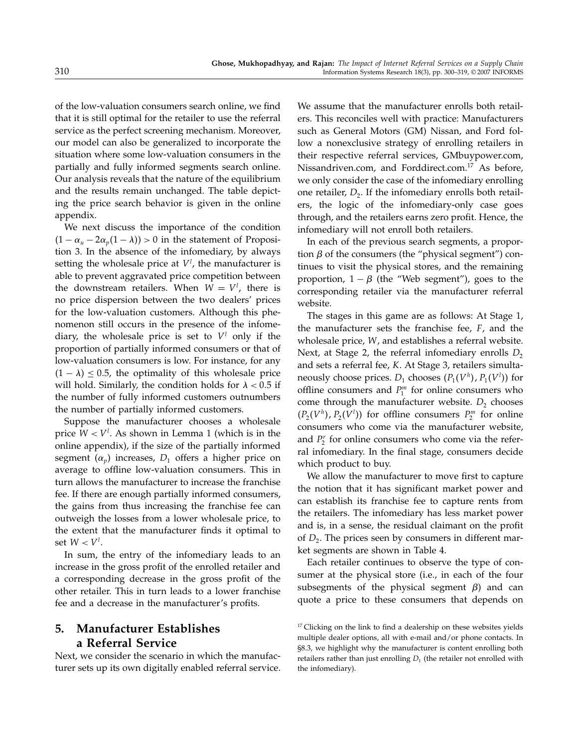of the low-valuation consumers search online, we find that it is still optimal for the retailer to use the referral service as the perfect screening mechanism. Moreover, our model can also be generalized to incorporate the situation where some low-valuation consumers in the partially and fully informed segments search online. Our analysis reveals that the nature of the equilibrium and the results remain unchanged. The table depicting the price search behavior is given in the online appendix.

We next discuss the importance of the condition  $(1 - \alpha_u - 2\alpha_p(1 - \lambda)) > 0$  in the statement of Proposition 3. In the absence of the infomediary, by always setting the wholesale price at  $V^l$ , the manufacturer is able to prevent aggravated price competition between the downstream retailers. When  $W = V^l$ , there is no price dispersion between the two dealers' prices for the low-valuation customers. Although this phenomenon still occurs in the presence of the infomediary, the wholesale price is set to  $V<sup>1</sup>$  only if the proportion of partially informed consumers or that of low-valuation consumers is low. For instance, for any  $(1 - \lambda) \leq 0.5$ , the optimality of this wholesale price will hold. Similarly, the condition holds for  $\lambda < 0.5$  if the number of fully informed customers outnumbers the number of partially informed customers.

Suppose the manufacturer chooses a wholesale price  $W < V^l$ . As shown in Lemma 1 (which is in the online appendix), if the size of the partially informed segment  $(\alpha_p)$  increases,  $D_1$  offers a higher price on average to offline low-valuation consumers. This in turn allows the manufacturer to increase the franchise fee. If there are enough partially informed consumers, the gains from thus increasing the franchise fee can outweigh the losses from a lower wholesale price, to the extent that the manufacturer finds it optimal to set  $W < V^l$ .

In sum, the entry of the infomediary leads to an increase in the gross profit of the enrolled retailer and a corresponding decrease in the gross profit of the other retailer. This in turn leads to a lower franchise fee and a decrease in the manufacturer's profits.

# 5. Manufacturer Establishes a Referral Service

Next, we consider the scenario in which the manufacturer sets up its own digitally enabled referral service.

We assume that the manufacturer enrolls both retailers. This reconciles well with practice: Manufacturers such as General Motors (GM) Nissan, and Ford follow a nonexclusive strategy of enrolling retailers in their respective referral services, GMbuypower.com, Nissandriven.com, and Forddirect.com.<sup>17</sup> As before, we only consider the case of the infomediary enrolling one retailer,  $D_2$ . If the infomediary enrolls both retailers, the logic of the infomediary-only case goes through, and the retailers earns zero profit. Hence, the infomediary will not enroll both retailers.

In each of the previous search segments, a proportion  $\beta$  of the consumers (the "physical segment") continues to visit the physical stores, and the remaining proportion,  $1 - \beta$  (the "Web segment"), goes to the corresponding retailer via the manufacturer referral website.

The stages in this game are as follows: At Stage 1, the manufacturer sets the franchise fee,  $F$ , and the wholesale price, W, and establishes a referral website. Next, at Stage 2, the referral infomediary enrolls  $D_2$ and sets a referral fee, K. At Stage 3, retailers simultaneously choose prices.  $D_1$  chooses  $(P_1(V^h), P_1(V^l))$  for offline consumers and  $P_1^m$  for online consumers who come through the manufacturer website.  $D_2$  chooses  $(P_2(V^h), P_2(V^l))$  for offline consumers  $P_2^m$  for online consumers who come via the manufacturer website, and  $P_2^r$  for online consumers who come via the referral infomediary. In the final stage, consumers decide which product to buy.

We allow the manufacturer to move first to capture the notion that it has significant market power and can establish its franchise fee to capture rents from the retailers. The infomediary has less market power and is, in a sense, the residual claimant on the profit of  $D_2$ . The prices seen by consumers in different market segments are shown in Table 4.

Each retailer continues to observe the type of consumer at the physical store (i.e., in each of the four subsegments of the physical segment  $\beta$ ) and can quote a price to these consumers that depends on

 $17$  Clicking on the link to find a dealership on these websites yields multiple dealer options, all with e-mail and/or phone contacts. In §8.3, we highlight why the manufacturer is content enrolling both retailers rather than just enrolling  $D_1$  (the retailer not enrolled with the infomediary).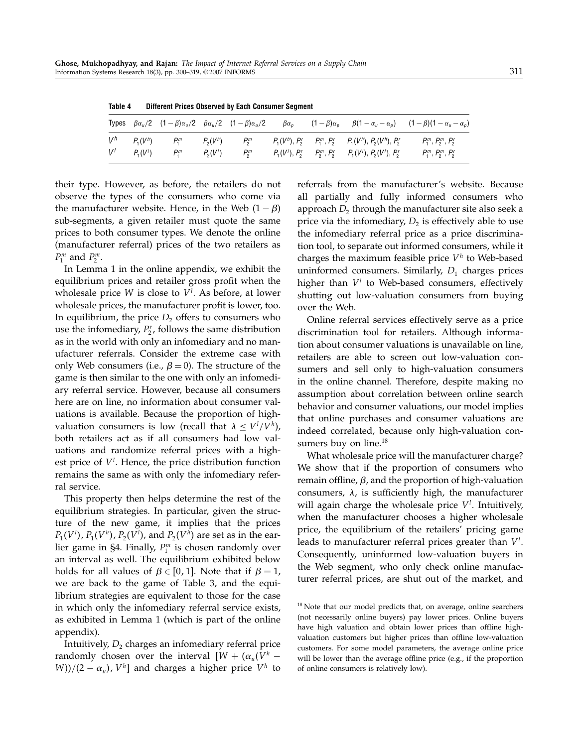|              |                  | Types $\beta \alpha_u/2$ $(1-\beta)\alpha_u/2$ $\beta \alpha_u/2$ $(1-\beta)\alpha_u/2$ |            |         |  |                                                                                   | $\beta \alpha_p$ $(1 - \beta) \alpha_p$ $\beta (1 - \alpha_u - \alpha_p)$ $(1 - \beta) (1 - \alpha_u - \alpha_p)$ |
|--------------|------------------|-----------------------------------------------------------------------------------------|------------|---------|--|-----------------------------------------------------------------------------------|-------------------------------------------------------------------------------------------------------------------|
| $V^h$        | $P_{\rm t}(V^h)$ | P <sup>m</sup>                                                                          | $P_2(V^h)$ | $P_n^m$ |  | $P_1(V^h), P_2^r$ $P_1^m, P_2^r$ $P_1(V^h), P_2(V^h), P_2^r$                      | $P_1^m$ , $P_2^m$ , $P_2^r$                                                                                       |
| $V^{\prime}$ | $P_1(V')$        | P <sup>m</sup>                                                                          | $P_2(V')$  | $P_2^m$ |  | $P_1(V^{\prime}), P_2^r$ $P_2^m, P_2^r$ $P_1(V^{\prime}), P_2(V^{\prime}), P_2^r$ | $P_1^m$ , $P_2^m$ , $P_2^r$                                                                                       |

Table 4 Different Prices Observed by Each Consumer Segment

their type. However, as before, the retailers do not observe the types of the consumers who come via the manufacturer website. Hence, in the Web  $(1 - \beta)$ sub-segments, a given retailer must quote the same prices to both consumer types. We denote the online (manufacturer referral) prices of the two retailers as  $P_1^m$  and  $P_2^m$ .

In Lemma 1 in the online appendix, we exhibit the equilibrium prices and retailer gross profit when the wholesale price W is close to  $V^l$ . As before, at lower wholesale prices, the manufacturer profit is lower, too. In equilibrium, the price  $D_2$  offers to consumers who use the infomediary,  $P_2^r$ , follows the same distribution as in the world with only an infomediary and no manufacturer referrals. Consider the extreme case with only Web consumers (i.e.,  $\beta = 0$ ). The structure of the game is then similar to the one with only an infomediary referral service. However, because all consumers here are on line, no information about consumer valuations is available. Because the proportion of highvaluation consumers is low (recall that  $\lambda \leq V^{l}/V^{h}$ ), both retailers act as if all consumers had low valuations and randomize referral prices with a highest price of  $V^l$ . Hence, the price distribution function remains the same as with only the infomediary referral service.

This property then helps determine the rest of the equilibrium strategies. In particular, given the structure of the new game, it implies that the prices  $P_1(V^l)$ ,  $P_1(V^h)$ ,  $P_2(V^l)$ , and  $P_2(V^h)$  are set as in the earlier game in §4. Finally,  $P_1^m$  is chosen randomly over an interval as well. The equilibrium exhibited below holds for all values of  $\beta \in [0, 1]$ . Note that if  $\beta = 1$ , we are back to the game of Table 3, and the equilibrium strategies are equivalent to those for the case in which only the infomediary referral service exists, as exhibited in Lemma 1 (which is part of the online appendix).

Intuitively,  $D_2$  charges an infomediary referral price randomly chosen over the interval  $[W + (\alpha_u(V^h -$ W))/(2 –  $\alpha_u$ ),  $V^h$ ] and charges a higher price  $V^h$  to referrals from the manufacturer's website. Because all partially and fully informed consumers who approach  $D_2$  through the manufacturer site also seek a price via the infomediary,  $D_2$  is effectively able to use the infomediary referral price as a price discrimination tool, to separate out informed consumers, while it charges the maximum feasible price  $V^h$  to Web-based uninformed consumers. Similarly,  $D_1$  charges prices higher than  $V^l$  to Web-based consumers, effectively shutting out low-valuation consumers from buying over the Web.

Online referral services effectively serve as a price discrimination tool for retailers. Although information about consumer valuations is unavailable on line, retailers are able to screen out low-valuation consumers and sell only to high-valuation consumers in the online channel. Therefore, despite making no assumption about correlation between online search behavior and consumer valuations, our model implies that online purchases and consumer valuations are indeed correlated, because only high-valuation consumers buy on line.<sup>18</sup>

What wholesale price will the manufacturer charge? We show that if the proportion of consumers who remain offline,  $\beta$ , and the proportion of high-valuation consumers,  $\lambda$ , is sufficiently high, the manufacturer will again charge the wholesale price  $V^l$ . Intuitively, when the manufacturer chooses a higher wholesale price, the equilibrium of the retailers' pricing game leads to manufacturer referral prices greater than  $V^l.$ Consequently, uninformed low-valuation buyers in the Web segment, who only check online manufacturer referral prices, are shut out of the market, and

<sup>&</sup>lt;sup>18</sup> Note that our model predicts that, on average, online searchers (not necessarily online buyers) pay lower prices. Online buyers have high valuation and obtain lower prices than offline highvaluation customers but higher prices than offline low-valuation customers. For some model parameters, the average online price will be lower than the average offline price (e.g., if the proportion of online consumers is relatively low).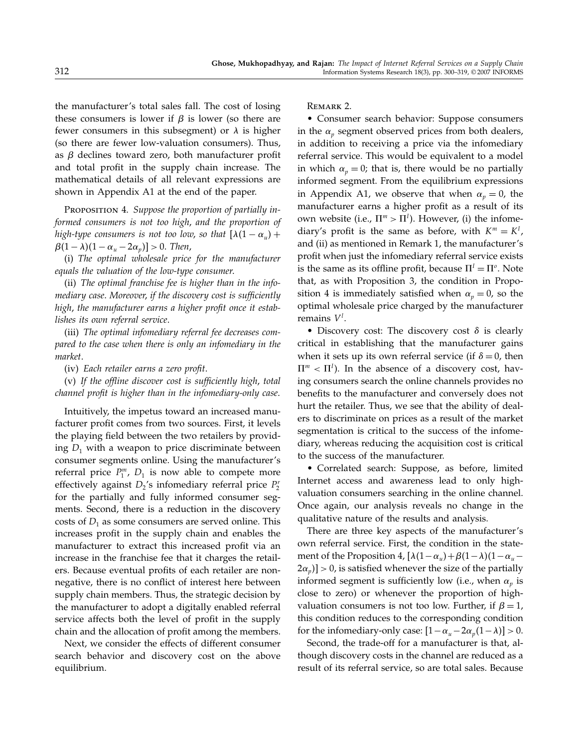the manufacturer's total sales fall. The cost of losing these consumers is lower if  $\beta$  is lower (so there are fewer consumers in this subsegment) or  $\lambda$  is higher (so there are fewer low-valuation consumers). Thus, as  $\beta$  declines toward zero, both manufacturer profit and total profit in the supply chain increase. The mathematical details of all relevant expressions are shown in Appendix A1 at the end of the paper.

PROPOSITION 4. Suppose the proportion of partially informed consumers is not too high, and the proportion of high-type consumers is not too low, so that  $[\lambda(1 - \alpha_u) +$  $\beta(1-\lambda)(1-\alpha_u-2\alpha_p)] > 0$ . Then,

(i) The optimal wholesale price for the manufacturer equals the valuation of the low-type consumer.

(ii) The optimal franchise fee is higher than in the infomediary case. Moreover, if the discovery cost is sufficiently high, the manufacturer earns a higher profit once it establishes its own referral service.

(iii) The optimal infomediary referral fee decreases compared to the case when there is only an infomediary in the market.

(iv) Each retailer earns a zero profit.

(v) If the offline discover cost is sufficiently high, total channel profit is higher than in the infomediary-only case.

Intuitively, the impetus toward an increased manufacturer profit comes from two sources. First, it levels the playing field between the two retailers by providing  $D_1$  with a weapon to price discriminate between consumer segments online. Using the manufacturer's referral price  $P_1^m$ ,  $D_1$  is now able to compete more effectively against  $D_2$ 's infomediary referral price  $P_2^r$ for the partially and fully informed consumer segments. Second, there is a reduction in the discovery costs of  $D_1$  as some consumers are served online. This increases profit in the supply chain and enables the manufacturer to extract this increased profit via an increase in the franchise fee that it charges the retailers. Because eventual profits of each retailer are nonnegative, there is no conflict of interest here between supply chain members. Thus, the strategic decision by the manufacturer to adopt a digitally enabled referral service affects both the level of profit in the supply chain and the allocation of profit among the members.

Next, we consider the effects of different consumer search behavior and discovery cost on the above equilibrium.

Remark 2.

• Consumer search behavior: Suppose consumers in the  $\alpha_n$  segment observed prices from both dealers, in addition to receiving a price via the infomediary referral service. This would be equivalent to a model in which  $\alpha_n = 0$ ; that is, there would be no partially informed segment. From the equilibrium expressions in Appendix A1, we observe that when  $\alpha_p = 0$ , the manufacturer earns a higher profit as a result of its own website (i.e.,  $\Pi^m > \Pi^I$ ). However, (i) the infomediary's profit is the same as before, with  $K^m = K^I$ , and (ii) as mentioned in Remark 1, the manufacturer's profit when just the infomediary referral service exists is the same as its offline profit, because  $\Pi^I = \Pi^o$ . Note that, as with Proposition 3, the condition in Proposition 4 is immediately satisfied when  $\alpha_p = 0$ , so the optimal wholesale price charged by the manufacturer remains  $V^l$ .

• Discovery cost: The discovery cost  $\delta$  is clearly critical in establishing that the manufacturer gains when it sets up its own referral service (if  $\delta = 0$ , then  $\Pi^m < \Pi^I$ ). In the absence of a discovery cost, having consumers search the online channels provides no benefits to the manufacturer and conversely does not hurt the retailer. Thus, we see that the ability of dealers to discriminate on prices as a result of the market segmentation is critical to the success of the infomediary, whereas reducing the acquisition cost is critical to the success of the manufacturer.

• Correlated search: Suppose, as before, limited Internet access and awareness lead to only highvaluation consumers searching in the online channel. Once again, our analysis reveals no change in the qualitative nature of the results and analysis.

There are three key aspects of the manufacturer's own referral service. First, the condition in the statement of the Proposition 4,  $[\lambda(1-\alpha_u)+\beta(1-\lambda)(1-\alpha_u 2\alpha_p$ ] > 0, is satisfied whenever the size of the partially informed segment is sufficiently low (i.e., when  $\alpha_n$  is close to zero) or whenever the proportion of highvaluation consumers is not too low. Further, if  $\beta = 1$ , this condition reduces to the corresponding condition for the infomediary-only case:  $[1 - \alpha_u - 2\alpha_p(1 - \lambda)] > 0$ .

Second, the trade-off for a manufacturer is that, although discovery costs in the channel are reduced as a result of its referral service, so are total sales. Because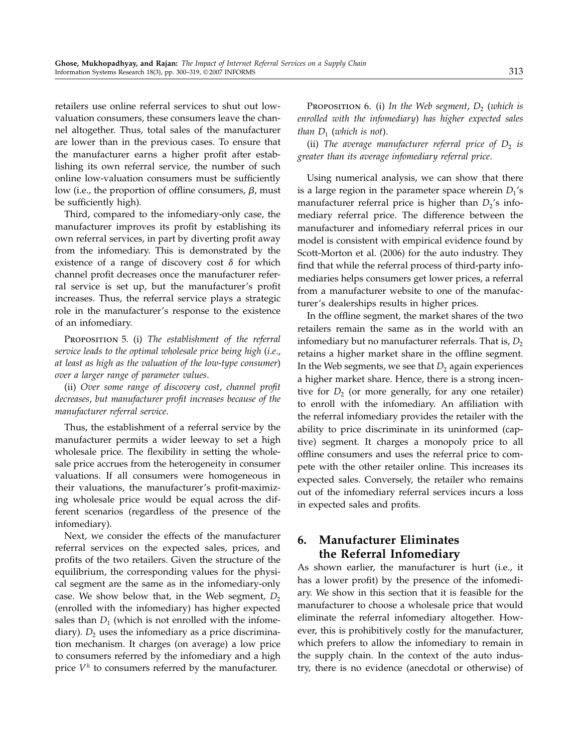retailers use online referral services to shut out lowvaluation consumers, these consumers leave the channel altogether. Thus, total sales of the manufacturer are lower than in the previous cases. To ensure that the manufacturer earns a higher profit after establishing its own referral service, the number of such online low-valuation consumers must be sufficiently low (i.e., the proportion of offline consumers,  $\beta$ , must be sufficiently high).

Third, compared to the infomediary-only case, the manufacturer improves its profit by establishing its own referral services, in part by diverting profit away from the infomediary. This is demonstrated by the existence of a range of discovery cost  $\delta$  for which channel profit decreases once the manufacturer referral service is set up, but the manufacturer's profit increases. Thus, the referral service plays a strategic role in the manufacturer's response to the existence of an infomediary.

PROPOSITION 5. (i) The establishment of the referral service leads to the optimal wholesale price being high (i.e., at least as high as the valuation of the low-type consumer) over a larger range of parameter values.

(ii) Over some range of discovery cost, channel profit decreases, but manufacturer profit increases because of the manufacturer referral service.

Thus, the establishment of a referral service by the manufacturer permits a wider leeway to set a high wholesale price. The flexibility in setting the wholesale price accrues from the heterogeneity in consumer valuations. If all consumers were homogeneous in their valuations, the manufacturer's profit-maximizing wholesale price would be equal across the different scenarios (regardless of the presence of the infomediary).

Next, we consider the effects of the manufacturer referral services on the expected sales, prices, and profits of the two retailers. Given the structure of the equilibrium, the corresponding values for the physical segment are the same as in the infomediary-only case. We show below that, in the Web segment,  $D_2$ (enrolled with the infomediary) has higher expected sales than  $D_1$  (which is not enrolled with the infomediary).  $D_2$  uses the infomediary as a price discrimination mechanism. It charges (on average) a low price to consumers referred by the infomediary and a high price  $V^h$  to consumers referred by the manufacturer.

**PROPOSITION 6.** (i) In the Web segment,  $D_2$  (which is enrolled with the infomediary) has higher expected sales than  $D_1$  (which is not).

(ii) The average manufacturer referral price of  $D_2$  is greater than its average infomediary referral price.

Using numerical analysis, we can show that there is a large region in the parameter space wherein  $D_1$ 's manufacturer referral price is higher than  $D_2$ 's infomediary referral price. The difference between the manufacturer and infomediary referral prices in our model is consistent with empirical evidence found by Scott-Morton et al. (2006) for the auto industry. They find that while the referral process of third-party infomediaries helps consumers get lower prices, a referral from a manufacturer website to one of the manufacturer's dealerships results in higher prices.

In the offline segment, the market shares of the two retailers remain the same as in the world with an infomediary but no manufacturer referrals. That is,  $D_2$ retains a higher market share in the offline segment. In the Web segments, we see that  $D_2$  again experiences a higher market share. Hence, there is a strong incentive for  $D_2$  (or more generally, for any one retailer) to enroll with the infomediary. An affiliation with the referral infomediary provides the retailer with the ability to price discriminate in its uninformed (captive) segment. It charges a monopoly price to all offline consumers and uses the referral price to compete with the other retailer online. This increases its expected sales. Conversely, the retailer who remains out of the infomediary referral services incurs a loss in expected sales and profits.

# 6. Manufacturer Eliminates the Referral Infomediary

As shown earlier, the manufacturer is hurt (i.e., it has a lower profit) by the presence of the infomediary. We show in this section that it is feasible for the manufacturer to choose a wholesale price that would eliminate the referral infomediary altogether. However, this is prohibitively costly for the manufacturer, which prefers to allow the infomediary to remain in the supply chain. In the context of the auto industry, there is no evidence (anecdotal or otherwise) of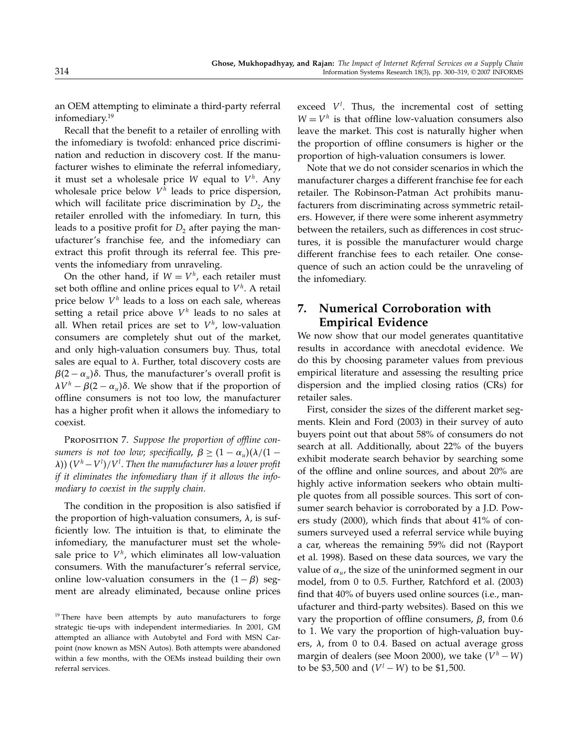an OEM attempting to eliminate a third-party referral infomediary.<sup>19</sup>

Recall that the benefit to a retailer of enrolling with the infomediary is twofold: enhanced price discrimination and reduction in discovery cost. If the manufacturer wishes to eliminate the referral infomediary, it must set a wholesale price W equal to  $V^h$ . Any wholesale price below  $V^h$  leads to price dispersion, which will facilitate price discrimination by  $D_2$ , the retailer enrolled with the infomediary. In turn, this leads to a positive profit for  $D_2$  after paying the manufacturer's franchise fee, and the infomediary can extract this profit through its referral fee. This prevents the infomediary from unraveling.

On the other hand, if  $W = V<sup>h</sup>$ , each retailer must set both offline and online prices equal to  $V^h$ . A retail price below  $V^h$  leads to a loss on each sale, whereas setting a retail price above  $V^h$  leads to no sales at all. When retail prices are set to  $V^h$ , low-valuation consumers are completely shut out of the market, and only high-valuation consumers buy. Thus, total sales are equal to  $\lambda.$  Further, total discovery costs are  $\beta(2-\alpha_{\nu})\delta$ . Thus, the manufacturer's overall profit is  $\lambda V^h - \beta(2 - \alpha_u)\delta$ . We show that if the proportion of offline consumers is not too low, the manufacturer has a higher profit when it allows the infomediary to coexist.

PROPOSITION 7. Suppose the proportion of offline consumers is not too low; specifically,  $\beta \geq (1-\alpha_u)(\lambda/(1-\alpha_u))$  $\lambda$ ))  $(V^h - V^l)/V^l$ . Then the manufacturer has a lower profit if it eliminates the infomediary than if it allows the infomediary to coexist in the supply chain.

The condition in the proposition is also satisfied if the proportion of high-valuation consumers,  $\lambda$ , is sufficiently low. The intuition is that, to eliminate the infomediary, the manufacturer must set the wholesale price to  $V^h$ , which eliminates all low-valuation consumers. With the manufacturer's referral service, online low-valuation consumers in the  $(1 - \beta)$  segment are already eliminated, because online prices

exceed  $V^l$ . Thus, the incremental cost of setting  $W = V<sup>h</sup>$  is that offline low-valuation consumers also leave the market. This cost is naturally higher when the proportion of offline consumers is higher or the proportion of high-valuation consumers is lower.

Note that we do not consider scenarios in which the manufacturer charges a different franchise fee for each retailer. The Robinson-Patman Act prohibits manufacturers from discriminating across symmetric retailers. However, if there were some inherent asymmetry between the retailers, such as differences in cost structures, it is possible the manufacturer would charge different franchise fees to each retailer. One consequence of such an action could be the unraveling of the infomediary.

# 7. Numerical Corroboration with Empirical Evidence

We now show that our model generates quantitative results in accordance with anecdotal evidence. We do this by choosing parameter values from previous empirical literature and assessing the resulting price dispersion and the implied closing ratios (CRs) for retailer sales.

First, consider the sizes of the different market segments. Klein and Ford (2003) in their survey of auto buyers point out that about 58% of consumers do not search at all. Additionally, about 22% of the buyers exhibit moderate search behavior by searching some of the offline and online sources, and about 20% are highly active information seekers who obtain multiple quotes from all possible sources. This sort of consumer search behavior is corroborated by a J.D. Powers study (2000), which finds that about 41% of consumers surveyed used a referral service while buying a car, whereas the remaining 59% did not (Rayport et al. 1998). Based on these data sources, we vary the value of  $\alpha_{\mu}$ , the size of the uninformed segment in our model, from 0 to 0.5. Further, Ratchford et al. (2003) find that 40% of buyers used online sources (i.e., manufacturer and third-party websites). Based on this we vary the proportion of offline consumers,  $\beta$ , from 0.6 to 1. We vary the proportion of high-valuation buyers,  $\lambda$ , from 0 to 0.4. Based on actual average gross margin of dealers (see Moon 2000), we take  $(V^h - W)$ to be \$3,500 and  $(V^l - W)$  to be \$1,500.

<sup>&</sup>lt;sup>19</sup> There have been attempts by auto manufacturers to forge strategic tie-ups with independent intermediaries. In 2001, GM attempted an alliance with Autobytel and Ford with MSN Carpoint (now known as MSN Autos). Both attempts were abandoned within a few months, with the OEMs instead building their own referral services.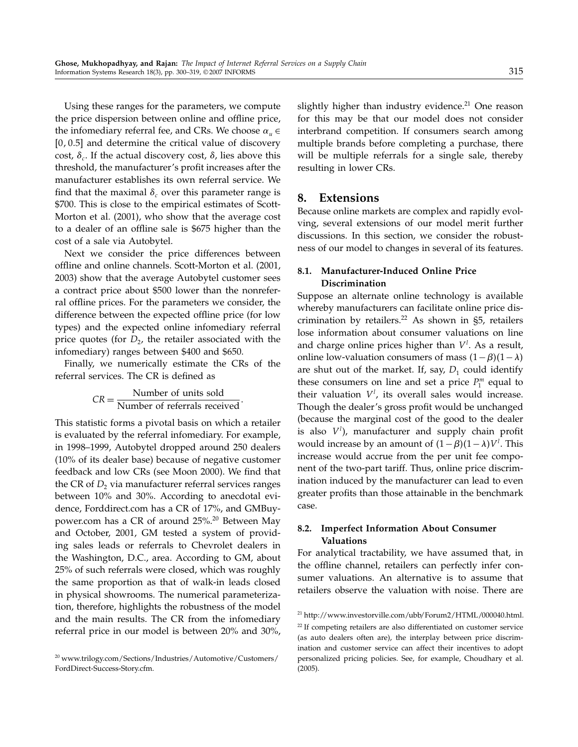Using these ranges for the parameters, we compute the price dispersion between online and offline price, the infomediary referral fee, and CRs. We choose  $\alpha_{\mu} \in$  $[0, 0.5]$  and determine the critical value of discovery cost,  $\delta_c$ . If the actual discovery cost,  $\delta$ , lies above this threshold, the manufacturer's profit increases after the manufacturer establishes its own referral service. We find that the maximal  $\delta_c$  over this parameter range is \$700. This is close to the empirical estimates of Scott-Morton et al. (2001), who show that the average cost to a dealer of an offline sale is \$675 higher than the cost of a sale via Autobytel.

Next we consider the price differences between offline and online channels. Scott-Morton et al. (2001, 2003) show that the average Autobytel customer sees a contract price about \$500 lower than the nonreferral offline prices. For the parameters we consider, the difference between the expected offline price (for low types) and the expected online infomediary referral price quotes (for  $D<sub>2</sub>$ , the retailer associated with the infomediary) ranges between \$400 and \$650.

Finally, we numerically estimate the CRs of the referral services. The CR is defined as

$$
CR = \frac{\text{Number of units sold}}{\text{Number of referrals received}}.
$$

This statistic forms a pivotal basis on which a retailer is evaluated by the referral infomediary. For example, in 1998–1999, Autobytel dropped around 250 dealers (10% of its dealer base) because of negative customer feedback and low CRs (see Moon 2000). We find that the CR of  $D<sub>2</sub>$  via manufacturer referral services ranges between 10% and 30%. According to anecdotal evidence, Forddirect.com has a CR of 17%, and GMBuypower.com has a CR of around 25%.<sup>20</sup> Between May and October, 2001, GM tested a system of providing sales leads or referrals to Chevrolet dealers in the Washington, D.C., area. According to GM, about 25% of such referrals were closed, which was roughly the same proportion as that of walk-in leads closed in physical showrooms. The numerical parameterization, therefore, highlights the robustness of the model and the main results. The CR from the infomediary referral price in our model is between 20% and 30%, slightly higher than industry evidence.<sup>21</sup> One reason for this may be that our model does not consider interbrand competition. If consumers search among multiple brands before completing a purchase, there will be multiple referrals for a single sale, thereby resulting in lower CRs.

# 8. Extensions

Because online markets are complex and rapidly evolving, several extensions of our model merit further discussions. In this section, we consider the robustness of our model to changes in several of its features.

### 8.1. Manufacturer-Induced Online Price Discrimination

Suppose an alternate online technology is available whereby manufacturers can facilitate online price discrimination by retailers.<sup>22</sup> As shown in  $\S5$ , retailers lose information about consumer valuations on line and charge online prices higher than  $V^l$ . As a result, online low-valuation consumers of mass  $(1-\beta)(1-\lambda)$ are shut out of the market. If, say,  $D_1$  could identify these consumers on line and set a price  $P_1^m$  equal to their valuation  $V^l$ , its overall sales would increase. Though the dealer's gross profit would be unchanged (because the marginal cost of the good to the dealer is also  $V^l$ ), manufacturer and supply chain profit would increase by an amount of  $(1 - \beta)(1 - \lambda)V^{l}$ . This increase would accrue from the per unit fee component of the two-part tariff. Thus, online price discrimination induced by the manufacturer can lead to even greater profits than those attainable in the benchmark case.

### 8.2. Imperfect Information About Consumer Valuations

For analytical tractability, we have assumed that, in the offline channel, retailers can perfectly infer consumer valuations. An alternative is to assume that retailers observe the valuation with noise. There are

<sup>20</sup> www.trilogy.com/Sections/Industries/Automotive/Customers/ FordDirect-Success-Story.cfm.

<sup>21</sup> http://www.investorville.com/ubb/Forum2/HTML/000040.html. <sup>22</sup> If competing retailers are also differentiated on customer service (as auto dealers often are), the interplay between price discrimination and customer service can affect their incentives to adopt personalized pricing policies. See, for example, Choudhary et al. (2005).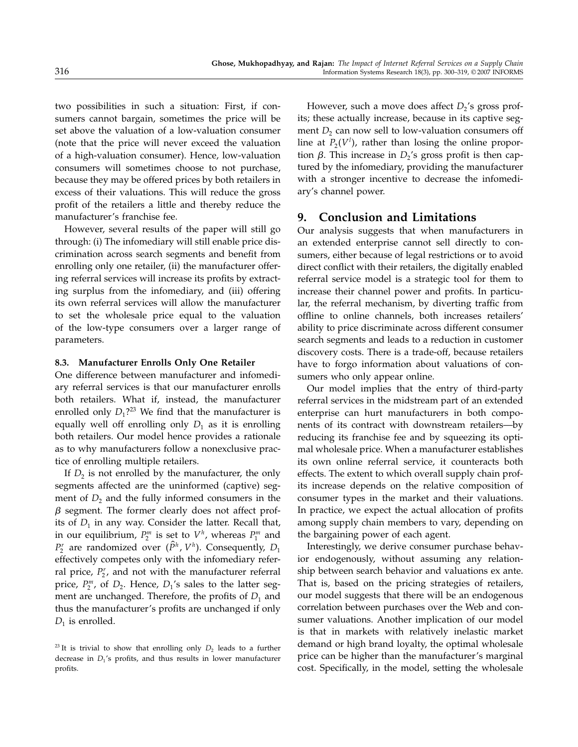two possibilities in such a situation: First, if consumers cannot bargain, sometimes the price will be set above the valuation of a low-valuation consumer (note that the price will never exceed the valuation of a high-valuation consumer). Hence, low-valuation consumers will sometimes choose to not purchase, because they may be offered prices by both retailers in excess of their valuations. This will reduce the gross profit of the retailers a little and thereby reduce the manufacturer's franchise fee.

However, several results of the paper will still go through: (i) The infomediary will still enable price discrimination across search segments and benefit from enrolling only one retailer, (ii) the manufacturer offering referral services will increase its profits by extracting surplus from the infomediary, and (iii) offering its own referral services will allow the manufacturer to set the wholesale price equal to the valuation of the low-type consumers over a larger range of parameters.

### 8.3. Manufacturer Enrolls Only One Retailer

One difference between manufacturer and infomediary referral services is that our manufacturer enrolls both retailers. What if, instead, the manufacturer enrolled only  $D_1$ ?<sup>23</sup> We find that the manufacturer is equally well off enrolling only  $D_1$  as it is enrolling both retailers. Our model hence provides a rationale as to why manufacturers follow a nonexclusive practice of enrolling multiple retailers.

If  $D_2$  is not enrolled by the manufacturer, the only segments affected are the uninformed (captive) segment of  $D_2$  and the fully informed consumers in the  $\beta$  segment. The former clearly does not affect profits of  $D_1$  in any way. Consider the latter. Recall that, in our equilibrium,  $P_2^m$  is set to  $V^h$ , whereas  $P_1^m$  and  $P_2^r$  are randomized over  $(\hat{P}^h, V^h)$ . Consequently,  $D_1$ effectively competes only with the infomediary referral price,  $P_2^r$ , and not with the manufacturer referral price,  $P_2^m$ , of  $D_2$ . Hence,  $D_1$ 's sales to the latter segment are unchanged. Therefore, the profits of  $D_1$  and thus the manufacturer's profits are unchanged if only  $D_1$  is enrolled.

However, such a move does affect  $D_2$ 's gross profits; these actually increase, because in its captive segment  $D_2$  can now sell to low-valuation consumers off line at  $P_2(V^l)$ , rather than losing the online proportion  $\beta$ . This increase in  $D_2$ 's gross profit is then captured by the infomediary, providing the manufacturer with a stronger incentive to decrease the infomediary's channel power.

# 9. Conclusion and Limitations

Our analysis suggests that when manufacturers in an extended enterprise cannot sell directly to consumers, either because of legal restrictions or to avoid direct conflict with their retailers, the digitally enabled referral service model is a strategic tool for them to increase their channel power and profits. In particular, the referral mechanism, by diverting traffic from offline to online channels, both increases retailers' ability to price discriminate across different consumer search segments and leads to a reduction in customer discovery costs. There is a trade-off, because retailers have to forgo information about valuations of consumers who only appear online.

Our model implies that the entry of third-party referral services in the midstream part of an extended enterprise can hurt manufacturers in both components of its contract with downstream retailers—by reducing its franchise fee and by squeezing its optimal wholesale price. When a manufacturer establishes its own online referral service, it counteracts both effects. The extent to which overall supply chain profits increase depends on the relative composition of consumer types in the market and their valuations. In practice, we expect the actual allocation of profits among supply chain members to vary, depending on the bargaining power of each agent.

Interestingly, we derive consumer purchase behavior endogenously, without assuming any relationship between search behavior and valuations ex ante. That is, based on the pricing strategies of retailers, our model suggests that there will be an endogenous correlation between purchases over the Web and consumer valuations. Another implication of our model is that in markets with relatively inelastic market demand or high brand loyalty, the optimal wholesale price can be higher than the manufacturer's marginal cost. Specifically, in the model, setting the wholesale

<sup>&</sup>lt;sup>23</sup> It is trivial to show that enrolling only  $D_2$  leads to a further decrease in  $D_1$ 's profits, and thus results in lower manufacturer profits.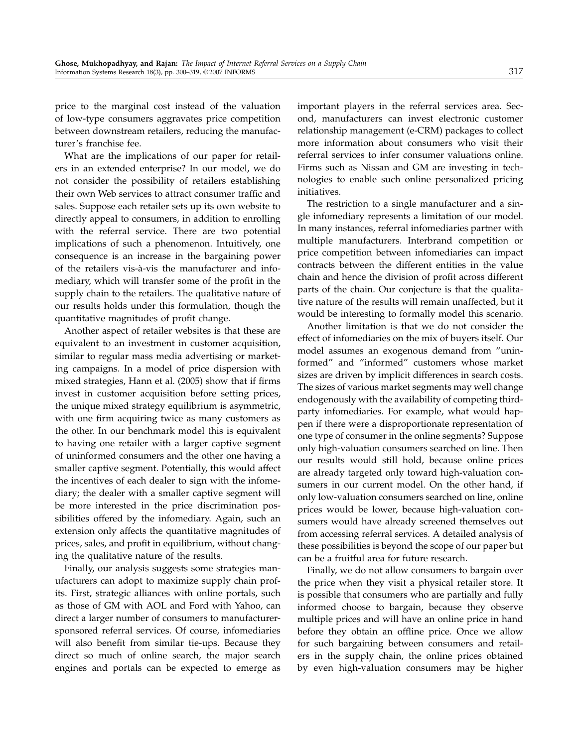price to the marginal cost instead of the valuation of low-type consumers aggravates price competition between downstream retailers, reducing the manufacturer's franchise fee.

What are the implications of our paper for retailers in an extended enterprise? In our model, we do not consider the possibility of retailers establishing their own Web services to attract consumer traffic and sales. Suppose each retailer sets up its own website to directly appeal to consumers, in addition to enrolling with the referral service. There are two potential implications of such a phenomenon. Intuitively, one consequence is an increase in the bargaining power of the retailers vis-à-vis the manufacturer and infomediary, which will transfer some of the profit in the supply chain to the retailers. The qualitative nature of our results holds under this formulation, though the quantitative magnitudes of profit change.

Another aspect of retailer websites is that these are equivalent to an investment in customer acquisition, similar to regular mass media advertising or marketing campaigns. In a model of price dispersion with mixed strategies, Hann et al. (2005) show that if firms invest in customer acquisition before setting prices, the unique mixed strategy equilibrium is asymmetric, with one firm acquiring twice as many customers as the other. In our benchmark model this is equivalent to having one retailer with a larger captive segment of uninformed consumers and the other one having a smaller captive segment. Potentially, this would affect the incentives of each dealer to sign with the infomediary; the dealer with a smaller captive segment will be more interested in the price discrimination possibilities offered by the infomediary. Again, such an extension only affects the quantitative magnitudes of prices, sales, and profit in equilibrium, without changing the qualitative nature of the results.

Finally, our analysis suggests some strategies manufacturers can adopt to maximize supply chain profits. First, strategic alliances with online portals, such as those of GM with AOL and Ford with Yahoo, can direct a larger number of consumers to manufacturersponsored referral services. Of course, infomediaries will also benefit from similar tie-ups. Because they direct so much of online search, the major search engines and portals can be expected to emerge as

important players in the referral services area. Second, manufacturers can invest electronic customer relationship management (e-CRM) packages to collect more information about consumers who visit their referral services to infer consumer valuations online. Firms such as Nissan and GM are investing in technologies to enable such online personalized pricing initiatives.

The restriction to a single manufacturer and a single infomediary represents a limitation of our model. In many instances, referral infomediaries partner with multiple manufacturers. Interbrand competition or price competition between infomediaries can impact contracts between the different entities in the value chain and hence the division of profit across different parts of the chain. Our conjecture is that the qualitative nature of the results will remain unaffected, but it would be interesting to formally model this scenario.

Another limitation is that we do not consider the effect of infomediaries on the mix of buyers itself. Our model assumes an exogenous demand from "uninformed" and "informed" customers whose market sizes are driven by implicit differences in search costs. The sizes of various market segments may well change endogenously with the availability of competing thirdparty infomediaries. For example, what would happen if there were a disproportionate representation of one type of consumer in the online segments? Suppose only high-valuation consumers searched on line. Then our results would still hold, because online prices are already targeted only toward high-valuation consumers in our current model. On the other hand, if only low-valuation consumers searched on line, online prices would be lower, because high-valuation consumers would have already screened themselves out from accessing referral services. A detailed analysis of these possibilities is beyond the scope of our paper but can be a fruitful area for future research.

Finally, we do not allow consumers to bargain over the price when they visit a physical retailer store. It is possible that consumers who are partially and fully informed choose to bargain, because they observe multiple prices and will have an online price in hand before they obtain an offline price. Once we allow for such bargaining between consumers and retailers in the supply chain, the online prices obtained by even high-valuation consumers may be higher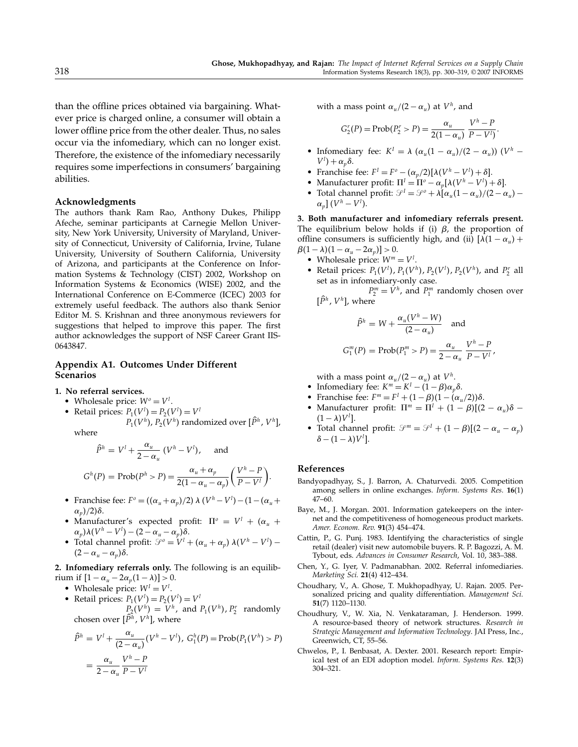than the offline prices obtained via bargaining. Whatever price is charged online, a consumer will obtain a lower offline price from the other dealer. Thus, no sales occur via the infomediary, which can no longer exist. Therefore, the existence of the infomediary necessarily requires some imperfections in consumers' bargaining abilities.

### Acknowledgments

The authors thank Ram Rao, Anthony Dukes, Philipp Afeche, seminar participants at Carnegie Mellon University, New York University, University of Maryland, University of Connecticut, University of California, Irvine, Tulane University, University of Southern California, University of Arizona, and participants at the Conference on Information Systems & Technology (CIST) 2002, Workshop on Information Systems & Economics (WISE) 2002, and the International Conference on E-Commerce (ICEC) 2003 for extremely useful feedback. The authors also thank Senior Editor M. S. Krishnan and three anonymous reviewers for suggestions that helped to improve this paper. The first author acknowledges the support of NSF Career Grant IIS-0643847.

### Appendix A1. Outcomes Under Different Scenarios

#### 1. No referral services.

- Wholesale price:  $W^o = V^l$ .
- Retail prices:  $P_1(V^l) = P_2(V^l) = V^l$  $P_1(V^h)$ ,  $P_2(V^h)$  randomized over  $[\hat{P}^h, V^h]$ ,

where

$$
\hat{P}^h = V^l + \frac{\alpha_u}{2 - \alpha_u} (V^h - V^l), \text{ and}
$$

$$
G^h(P) = \text{Prob}(P^h > P) = \frac{\alpha_u + \alpha_p}{2(1 - \alpha_u - \alpha_p)} \left(\frac{V^h - P}{P - V^l}\right)
$$

- Franchise fee:  $F^{\circ} = ((\alpha_u + \alpha_p)/2) \lambda (V^h V^l) (1 (\alpha_u +$  $\alpha_n$ /2.
- Manufacturer's expected profit:  $\Pi^{\circ} = V^{l} + (\alpha_{u} +$  $\alpha_p$ ) $\lambda(V^h - V^l) - (2 - \alpha_u - \alpha_p)\delta$ .
- Total channel profit:  $\mathcal{S}^{\circ} = V^{\prime} + (\alpha_u + \alpha_p) \lambda (V^h V^l)$   $(2-\alpha_u-\alpha_v)\delta$ .

2. Infomediary referrals only. The following is an equilibrium if  $[1 - \alpha_u - 2\alpha_p(1 - \lambda)] > 0$ .

- Wholesale price:  $W^I = V^I$ .
- Retail prices:  $P_1(V^l) = P_2(V^l) = V^l$  $P_2(V^h) = V^h$ , and  $P_1(V^h)$ ,  $P_2^r$  randomly chosen over  $[\hat{P}^h, V^h]$ , where

$$
\begin{aligned} \hat{P}^h &= V^l + \frac{\alpha_u}{(2 - \alpha_u)} (V^h - V^l), \ G_1^h(P) = \text{Prob}(P_1(V^h) > P) \\ &= \frac{\alpha_u}{2 - \alpha_u} \frac{V^h - P}{P - V^l} \end{aligned}
$$

with a mass point  $\alpha_u/(2-\alpha_u)$  at  $V^h$ , and

$$
G'_{2}(P) = \text{Prob}(P'_{2} > P) = \frac{\alpha_{u}}{2(1 - \alpha_{u})} \frac{V^{h} - P}{P - V^{l}}.
$$

- Infomediary fee:  $K^I = \lambda (\alpha_u(1 \alpha_u)/(2 \alpha_u)) (V^h V^l$ ) +  $\alpha_p \delta$ .
- Franchise fee:  $F^I = F^{\circ} (\alpha_p/2)[\lambda(V^h V^l) + \delta].$
- Manufacturer profit:  $\Pi^I = \Pi^o \alpha_p [\lambda (V^h V^l) + \delta].$
- Total channel profit:  $\mathcal{S}^I = \mathcal{S}^o + \lambda [\alpha_u(1 \alpha_u)/(2 \alpha_u) \alpha_p$ ] ( $V^h - V^l$ ).

3. Both manufacturer and infomediary referrals present. The equilibrium below holds if (i)  $\beta$ , the proportion of offline consumers is sufficiently high, and (ii)  $[\lambda(1 - \alpha_u) +$  $\beta(1-\lambda)(1-\alpha_u-2\alpha_p)]>0.$ 

- Wholesale price:  $W^m = V^l$ .
- Retail prices:  $P_1(V^l)$ ,  $P_1(V^h)$ ,  $P_2(V^l)$ ,  $P_2(V^h)$ , and  $P_2^r$  all set as in infomediary-only case.

 $P_2^m = V^h$ , and  $P_1^m$  randomly chosen over  $[\hat{P}^h, V^h]$ , where

$$
\hat{P}^h = W + \frac{\alpha_u(V^h - W)}{(2 - \alpha_u)} \quad \text{and}
$$

$$
G_1^m(P) = \text{Prob}(P_1^m > P) = \frac{\alpha_u}{2 - \alpha_u} \frac{V^h - P}{P - V^l},
$$

with a mass point  $\alpha_u/(2-\alpha_u)$  at  $V^h$ .

- Infomediary fee:  $K^m = K^l (1 \beta)\alpha_n \delta$ .
- Franchise fee:  $F^m = F^I + (1 \beta)(1 (\alpha_u/2))\delta$ .
- Manufacturer profit:  $\Pi^m = \Pi^l + (1 \beta) [(2 \alpha_u)\delta (1 - \lambda)V^l$ ].
- Total channel profit:  $\mathcal{S}^m = \mathcal{S}^1 + (1 \beta)[(2 \alpha_u \alpha_u)]$  $\delta - (1 - \lambda)V^l$ ].

### References

.

- Bandyopadhyay, S., J. Barron, A. Chaturvedi. 2005. Competition among sellers in online exchanges. Inform. Systems Res. 16(1) 47–60.
- Baye, M., J. Morgan. 2001. Information gatekeepers on the internet and the competitiveness of homogeneous product markets. Amer. Econom. Rev. 91(3) 454–474.
- Cattin, P., G. Punj. 1983. Identifying the characteristics of single retail (dealer) visit new automobile buyers. R. P. Bagozzi, A. M. Tybout, eds. Advances in Consumer Research, Vol. 10, 383–388.
- Chen, Y., G. Iyer, V. Padmanabhan. 2002. Referral infomediaries. Marketing Sci. 21(4) 412-434.
- Choudhary, V., A. Ghose, T. Mukhopadhyay, U. Rajan. 2005. Personalized pricing and quality differentiation. Management Sci. 51(7) 1120–1130.
- Choudhury, V., W. Xia, N. Venkataraman, J. Henderson. 1999. A resource-based theory of network structures. Research in Strategic Management and Information Technology. JAI Press, Inc., Greenwich, CT, 55–56.
- Chwelos, P., I. Benbasat, A. Dexter. 2001. Research report: Empirical test of an EDI adoption model. Inform. Systems Res. 12(3) 304–321.